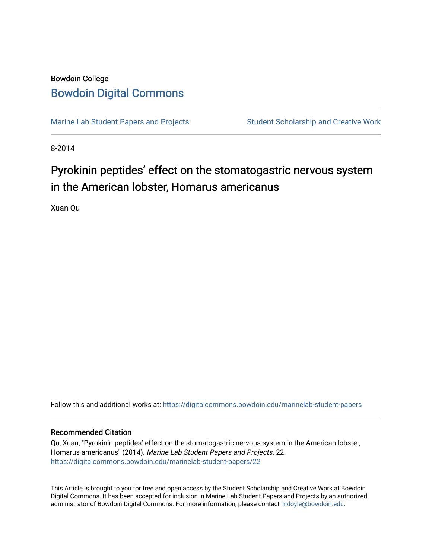## Bowdoin College [Bowdoin Digital Commons](https://digitalcommons.bowdoin.edu/)

[Marine Lab Student Papers and Projects](https://digitalcommons.bowdoin.edu/marinelab-student-papers) Student Scholarship and Creative Work

8-2014

## Pyrokinin peptides' effect on the stomatogastric nervous system in the American lobster, Homarus americanus

Xuan Qu

Follow this and additional works at: [https://digitalcommons.bowdoin.edu/marinelab-student-papers](https://digitalcommons.bowdoin.edu/marinelab-student-papers?utm_source=digitalcommons.bowdoin.edu%2Fmarinelab-student-papers%2F22&utm_medium=PDF&utm_campaign=PDFCoverPages) 

## Recommended Citation

Qu, Xuan, "Pyrokinin peptides' effect on the stomatogastric nervous system in the American lobster, Homarus americanus" (2014). Marine Lab Student Papers and Projects. 22. [https://digitalcommons.bowdoin.edu/marinelab-student-papers/22](https://digitalcommons.bowdoin.edu/marinelab-student-papers/22?utm_source=digitalcommons.bowdoin.edu%2Fmarinelab-student-papers%2F22&utm_medium=PDF&utm_campaign=PDFCoverPages) 

This Article is brought to you for free and open access by the Student Scholarship and Creative Work at Bowdoin Digital Commons. It has been accepted for inclusion in Marine Lab Student Papers and Projects by an authorized administrator of Bowdoin Digital Commons. For more information, please contact [mdoyle@bowdoin.edu.](mailto:mdoyle@bowdoin.edu)